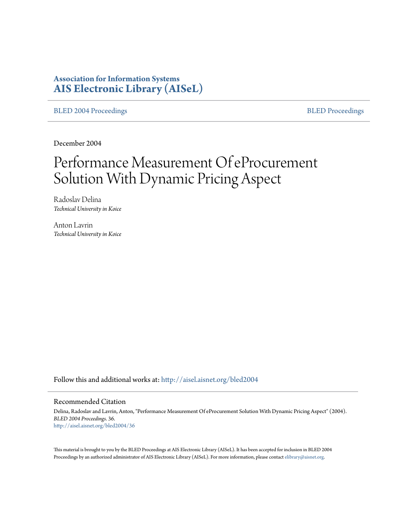# **Association for Information Systems [AIS Electronic Library \(AISeL\)](http://aisel.aisnet.org?utm_source=aisel.aisnet.org%2Fbled2004%2F36&utm_medium=PDF&utm_campaign=PDFCoverPages)**

[BLED 2004 Proceedings](http://aisel.aisnet.org/bled2004?utm_source=aisel.aisnet.org%2Fbled2004%2F36&utm_medium=PDF&utm_campaign=PDFCoverPages) **[BLED Proceedings](http://aisel.aisnet.org/bled?utm_source=aisel.aisnet.org%2Fbled2004%2F36&utm_medium=PDF&utm_campaign=PDFCoverPages)** 

December 2004

# Performance Measurement Of eProcurement Solution With Dynamic Pricing Aspect

Radoslav Delina *Technical University in Koice*

Anton Lavrin *Technical University in Koice*

Follow this and additional works at: [http://aisel.aisnet.org/bled2004](http://aisel.aisnet.org/bled2004?utm_source=aisel.aisnet.org%2Fbled2004%2F36&utm_medium=PDF&utm_campaign=PDFCoverPages)

#### Recommended Citation

Delina, Radoslav and Lavrin, Anton, "Performance Measurement Of eProcurement Solution With Dynamic Pricing Aspect" (2004). *BLED 2004 Proceedings*. 36. [http://aisel.aisnet.org/bled2004/36](http://aisel.aisnet.org/bled2004/36?utm_source=aisel.aisnet.org%2Fbled2004%2F36&utm_medium=PDF&utm_campaign=PDFCoverPages)

This material is brought to you by the BLED Proceedings at AIS Electronic Library (AISeL). It has been accepted for inclusion in BLED 2004 Proceedings by an authorized administrator of AIS Electronic Library (AISeL). For more information, please contact [elibrary@aisnet.org](mailto:elibrary@aisnet.org%3E).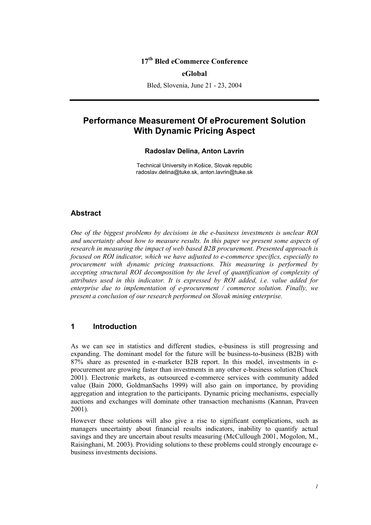## **17th Bled eCommerce Conference**

#### **eGlobal**

Bled, Slovenia, June 21 - 23, 2004

## **Performance Measurement Of eProcurement Solution With Dynamic Pricing Aspect**

#### **Radoslav Delina, Anton Lavrin**

Technical University in Košice, Slovak republic radoslav.delina@tuke.sk, anton.lavrin@tuke.sk

#### **Abstract**

*One of the biggest problems by decisions in the e-business investments is unclear ROI and uncertainty about how to measure results. In this paper we present some aspects of research in measuring the impact of web based B2B procurement. Presented approach is focused on ROI indicator, which we have adjusted to e-commerce specifics, especially to procurement with dynamic pricing transactions. This measuring is performed by accepting structural ROI decomposition by the level of quantification of complexity of attributes used in this indicator. It is expressed by ROI added, i.e. value added for enterprise due to implementation of e-procurement / commerce solution. Finally, we present a conclusion of our research performed on Slovak mining enterprise.* 

## **1 Introduction**

As we can see in statistics and different studies, e-business is still progressing and expanding. The dominant model for the future will be business-to-business (B2B) with 87% share as presented in e-marketer B2B report. In this model, investments in eprocurement are growing faster than investments in any other e-business solution (Chuck 2001). Electronic markets, as outsourced e-commerce services with community added value (Bain 2000, GoldmanSachs 1999) will also gain on importance, by providing aggregation and integration to the participants. Dynamic pricing mechanisms, especially auctions and exchanges will dominate other transaction mechanisms (Kannan, Praveen 2001).

However these solutions will also give a rise to significant complications, such as managers uncertainty about financial results indicators, inability to quantify actual savings and they are uncertain about results measuring (McCullough 2001, Mogolon, M., Raisinghani, M. 2003). Providing solutions to these problems could strongly encourage ebusiness investments decisions.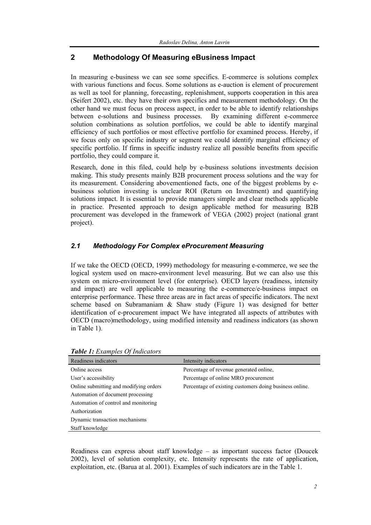## **2 Methodology Of Measuring eBusiness Impact**

In measuring e-business we can see some specifics. E-commerce is solutions complex with various functions and focus. Some solutions as e-auction is element of procurement as well as tool for planning, forecasting, replenishment, supports cooperation in this area (Seifert 2002), etc. they have their own specifics and measurement methodology. On the other hand we must focus on process aspect, in order to be able to identify relationships between e-solutions and business processes. By examining different e-commerce solution combinations as solution portfolios, we could be able to identify marginal efficiency of such portfolios or most effective portfolio for examined process. Hereby, if we focus only on specific industry or segment we could identify marginal efficiency of specific portfolio. If firms in specific industry realize all possible benefits from specific portfolio, they could compare it.

Research, done in this filed, could help by e-business solutions investments decision making. This study presents mainly B2B procurement process solutions and the way for its measurement. Considering abovementioned facts, one of the biggest problems by ebusiness solution investing is unclear ROI (Return on Investment) and quantifying solutions impact. It is essential to provide managers simple and clear methods applicable in practice. Presented approach to design applicable method for measuring B2B procurement was developed in the framework of VEGA (2002) project (national grant project).

## *2.1 Methodology For Complex eProcurement Measuring*

If we take the OECD (OECD, 1999) methodology for measuring e-commerce, we see the logical system used on macro-environment level measuring. But we can also use this system on micro-environment level (for enterprise). OECD layers (readiness, intensity and impact) are well applicable to measuring the e-commerce/e-business impact on enterprise performance. These three areas are in fact areas of specific indicators. The next scheme based on Subramaniam  $\&$  Shaw study (Figure 1) was designed for better identification of e-procurement impact We have integrated all aspects of attributes with OECD (macro)methodology, using modified intensity and readiness indicators (as shown in Table 1).

| Readiness indicators                   | Intensity indicators                                    |
|----------------------------------------|---------------------------------------------------------|
| Online access                          | Percentage of revenue generated online,                 |
| User's accessibility                   | Percentage of online MRO procurement                    |
| Online submitting and modifying orders | Percentage of existing customers doing business online. |
| Automation of document processing      |                                                         |
| Automation of control and monitoring   |                                                         |
| Authorization                          |                                                         |
| Dynamic transaction mechanisms         |                                                         |
| Staff knowledge                        |                                                         |

*Table 1: Examples Of Indicators* 

Readiness can express about staff knowledge – as important success factor (Doucek 2002), level of solution complexity, etc. Intensity represents the rate of application, exploitation, etc. (Barua at al. 2001). Examples of such indicators are in the Table 1.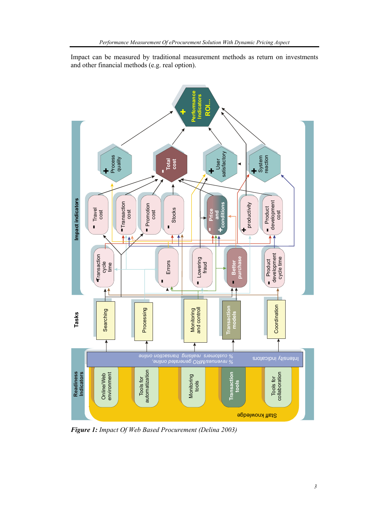Impact can be measured by traditional measurement methods as return on investments and other financial methods (e.g. real option).



*Figure 1: Impact Of Web Based Procurement (Delina 2003)*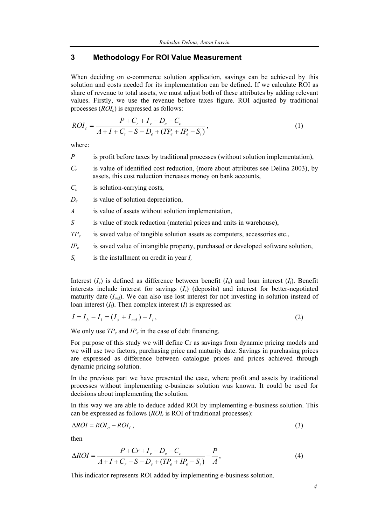## **3 Methodology For ROI Value Measurement**

When deciding on e-commerce solution application, savings can be achieved by this solution and costs needed for its implementation can be defined. If we calculate ROI as share of revenue to total assets, we must adjust both of these attributes by adding relevant values. Firstly, we use the revenue before taxes figure. ROI adjusted by traditional processes (*ROI<sub>c</sub>*) is expressed as follows:

$$
ROI_c = \frac{P + C_r + I_v - D_e - C_c}{A + I + C_r - S - D_e + (TP_e + IP_e - S_i)},
$$
\n(1)

where:

- *P* is profit before taxes by traditional processes (without solution implementation),
- *Cr* is value of identified cost reduction, (more about attributes see Delina 2003), by assets, this cost reduction increases money on bank accounts,
- *Cc* is solution-carrying costs,
- *De* is value of solution depreciation,
- *A* is value of assets without solution implementation,
- *S* is value of stock reduction (material prices and units in warehouse),
- *TPe* is saved value of tangible solution assets as computers, accessories etc.,
- *IPe* is saved value of intangible property, purchased or developed software solution,
- *Si* is the installment on credit in year *I,*

Interest  $(I_v)$  is defined as difference between benefit  $(I_b)$  and loan interest  $(I_l)$ . Benefit interests include interest for savings (*Is*) (deposits) and interest for better-negotiated maturity date  $(I_{md})$ . We can also use lost interest for not investing in solution instead of loan interest  $(I_i)$ . Then complex interest  $(I)$  is expressed as:

$$
I = I_b - I_l = (I_s + I_{md}) - I_l,
$$
\n(2)

We only use  $TP_e$  and  $IP_e$  in the case of debt financing.

For purpose of this study we will define Cr as savings from dynamic pricing models and we will use two factors, purchasing price and maturity date. Savings in purchasing prices are expressed as difference between catalogue prices and prices achieved through dynamic pricing solution.

In the previous part we have presented the case, where profit and assets by traditional processes without implementing e-business solution was known. It could be used for decisions about implementing the solution.

In this way we are able to deduce added ROI by implementing e-business solution. This can be expressed as follows  $(ROI_t \text{ is ROI of traditional processes})$ :

$$
\Delta ROI = ROI_c - ROI_t, \qquad (3)
$$

then

$$
\Delta ROI = \frac{P + Cr + I_v - D_e - C_c}{A + I + C_r - S - D_e + (TP_e + IP_e - S_i)} - \frac{P}{A},\tag{4}
$$

This indicator represents ROI added by implementing e-business solution.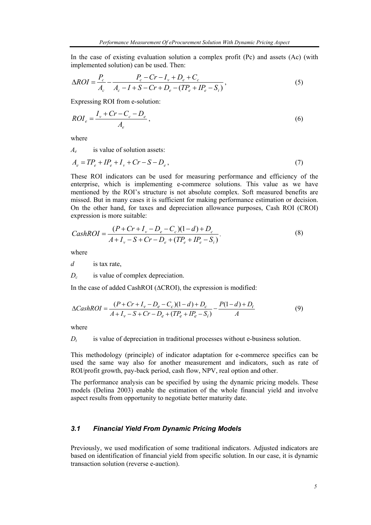In the case of existing evaluation solution a complex profit (Pc) and assets (Ac) (with implemented solution) can be used. Then:

$$
\Delta ROI = \frac{P_c}{A_c} - \frac{P_c - Cr - I_v + D_e + C_c}{A_c - I + S - Cr + D_e - (TP_e + IP_e - S_i)},
$$
\n(5)

Expressing ROI from e-solution:

$$
ROI_e = \frac{I_v + Cr - C_c - D_e}{A_e},\tag{6}
$$

where

*Ae* is value of solution assets:

$$
A_e = TP_e + IP_e + I_v + Cr - S - D_e, \tag{7}
$$

These ROI indicators can be used for measuring performance and efficiency of the enterprise, which is implementing e-commerce solutions. This value as we have mentioned by the ROI's structure is not absolute complex. Soft measured benefits are missed. But in many cases it is sufficient for making performance estimation or decision. On the other hand, for taxes and depreciation allowance purposes, Cash ROI (CROI) expression is more suitable:

$$
CashROI = \frac{(P + Cr + I_v - D_e - C_c)(1 - d) + D_c}{A + I_v - S + Cr - D_e + (TP_e + IP_e - S_i)},
$$
\n(8)

where

*d* is tax rate,

*Dc* is value of complex depreciation.

In the case of added CashROI (∆CROI), the expression is modified:

$$
\Delta CashROI = \frac{(P + Cr + I_v - D_e - C_c)(1 - d) + D_c}{A + I_v - S + Cr - D_e + (TP_e + IP_e - S_i)} - \frac{P(1 - d) + D_t}{A}
$$
(9)

where

*D<sub>t</sub>* is value of depreciation in traditional processes without e-business solution.

This methodology (principle) of indicator adaptation for e-commerce specifics can be used the same way also for another measurement and indicators, such as rate of ROI/profit growth, pay-back period, cash flow, NPV, real option and other.

The performance analysis can be specified by using the dynamic pricing models. These models (Delina 2003) enable the estimation of the whole financial yield and involve aspect results from opportunity to negotiate better maturity date.

#### *3.1 Financial Yield From Dynamic Pricing Models*

Previously, we used modification of some traditional indicators. Adjusted indicators are based on identification of financial yield from specific solution. In our case, it is dynamic transaction solution (reverse e-auction).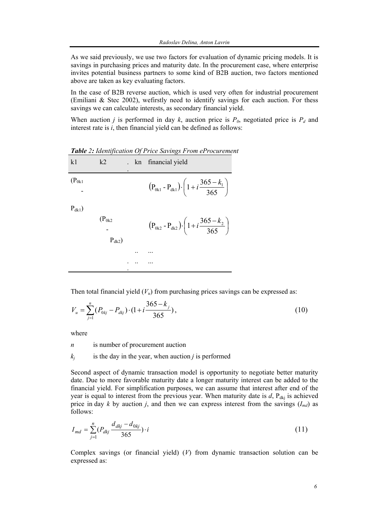As we said previously, we use two factors for evaluation of dynamic pricing models. It is savings in purchasing prices and maturity date. In the procurement case, where enterprise invites potential business partners to some kind of B2B auction, two factors mentioned above are taken as key evaluating factors.

In the case of B2B reverse auction, which is used very often for industrial procurement (Emiliani & Stec 2002), wefirstly need to identify savings for each auction. For thess savings we can calculate interests, as secondary financial yield.

When auction *j* is performed in day *k*, auction price is  $P_0$ , negotiated price is  $P_d$  and interest rate is *i*, then financial yield can be defined as follows:

*Table 2: Identification Of Price Savings From eProcurement* 



Then total financial yield  $(V_u)$  from purchasing prices savings can be expressed as:

$$
V_u = \sum_{j=1}^{n} (P_{0kj} - P_{dkj}) \cdot (1 + i \frac{365 - k_j}{365}),
$$
\n(10)

where

*n* is number of procurement auction

 $k_i$  is the day in the year, when auction *j* is performed

Second aspect of dynamic transaction model is opportunity to negotiate better maturity date. Due to more favorable maturity date a longer maturity interest can be added to the financial yield. For simplification purposes, we can assume that interest after end of the year is equal to interest from the previous year. When maturity date is  $d$ ,  $P_{dkj}$  is achieved price in day  $k$  by auction  $j$ , and then we can express interest from the savings  $(I_{md})$  as follows:

$$
I_{md} = \sum_{j=1}^{n} (P_{dkj} \frac{d_{dkj} - d_{0kj}}{365}) \cdot i
$$
 (11)

Complex savings (or financial yield) (*V*) from dynamic transaction solution can be expressed as: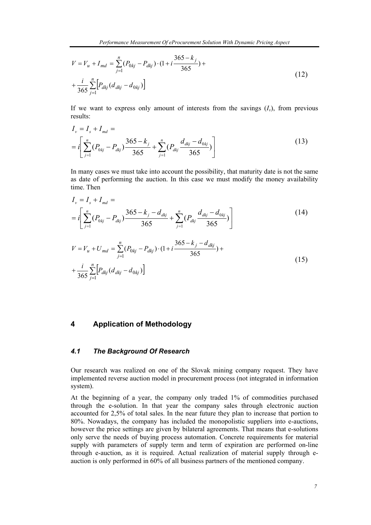$$
V = V_u + I_{md} = \sum_{j=1}^{n} (P_{0kj} - P_{dkj}) \cdot (1 + i \frac{365 - k_j}{365}) + \frac{i}{365} \sum_{j=1}^{n} [P_{dkj} (d_{dkj} - d_{0kj})]
$$
\n(12)

If we want to express only amount of interests from the savings  $(I<sub>v</sub>)$ , from previous results:

$$
I_{v} = I_{s} + I_{md} =
$$
  
=  $i \left[ \sum_{j=1}^{n} (P_{0kj} - P_{dkj}) \frac{365 - k_{j}}{365} + \sum_{j=1}^{n} (P_{dkj} \frac{d_{dkj} - d_{0kj}}{365}) \right]$  (13)

In many cases we must take into account the possibility, that maturity date is not the same as date of performing the auction. In this case we must modify the money availability time. Then

$$
I_{v} = I_{s} + I_{md} =
$$
\n
$$
= i \left[ \sum_{j=1}^{n} (P_{0kj} - P_{dkj}) \frac{365 - k_{j} - d_{dkj}}{365} + \sum_{j=1}^{n} (P_{dkj} \frac{d_{dkj} - d_{0kj}}{365}) \right]
$$
\n
$$
V = V_{u} + U_{md} = \sum_{j=1}^{n} (P_{0kj} - P_{dkj}) \cdot (1 + i \frac{365 - k_{j} - d_{dkj}}{365}) + \frac{i}{265} \sum_{j=1}^{n} [P_{dkj} (d_{dkj} - d_{0kj})]
$$
\n(15)

## **4 Application of Methodology**

=

1

 $\frac{1}{365} \sum_{j=1}^{6} [P_{dkj} (d_{dkj} - d_{0kj}))$ 

*j*

## *4.1 The Background Of Research*

Our research was realized on one of the Slovak mining company request. They have implemented reverse auction model in procurement process (not integrated in information system).

At the beginning of a year, the company only traded 1% of commodities purchased through the e-solution. In that year the company sales through electronic auction accounted for 2,5% of total sales. In the near future they plan to increase that portion to 80%. Nowadays, the company has included the monopolistic suppliers into e-auctions, however the price settings are given by bilateral agreements. That means that e-solutions only serve the needs of buying process automation. Concrete requirements for material supply with parameters of supply term and term of expiration are performed on-line through e-auction, as it is required. Actual realization of material supply through eauction is only performed in 60% of all business partners of the mentioned company.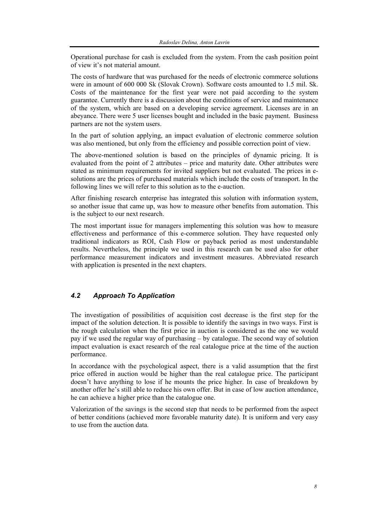Operational purchase for cash is excluded from the system. From the cash position point of view it's not material amount.

The costs of hardware that was purchased for the needs of electronic commerce solutions were in amount of 600 000 Sk (Slovak Crown). Software costs amounted to 1.5 mil. Sk. Costs of the maintenance for the first year were not paid according to the system guarantee. Currently there is a discussion about the conditions of service and maintenance of the system, which are based on a developing service agreement. Licenses are in an abeyance. There were 5 user licenses bought and included in the basic payment. Business partners are not the system users.

In the part of solution applying, an impact evaluation of electronic commerce solution was also mentioned, but only from the efficiency and possible correction point of view.

The above-mentioned solution is based on the principles of dynamic pricing. It is evaluated from the point of 2 attributes – price and maturity date. Other attributes were stated as minimum requirements for invited suppliers but not evaluated. The prices in esolutions are the prices of purchased materials which include the costs of transport. In the following lines we will refer to this solution as to the e-auction.

After finishing research enterprise has integrated this solution with information system, so another issue that came up, was how to measure other benefits from automation. This is the subject to our next research.

The most important issue for managers implementing this solution was how to measure effectiveness and performance of this e-commerce solution. They have requested only traditional indicators as ROI, Cash Flow or payback period as most understandable results. Nevertheless, the principle we used in this research can be used also for other performance measurement indicators and investment measures. Abbreviated research with application is presented in the next chapters.

## *4.2 Approach To Application*

The investigation of possibilities of acquisition cost decrease is the first step for the impact of the solution detection. It is possible to identify the savings in two ways. First is the rough calculation when the first price in auction is considered as the one we would pay if we used the regular way of purchasing – by catalogue. The second way of solution impact evaluation is exact research of the real catalogue price at the time of the auction performance.

In accordance with the psychological aspect, there is a valid assumption that the first price offered in auction would be higher than the real catalogue price. The participant doesn't have anything to lose if he mounts the price higher. In case of breakdown by another offer he's still able to reduce his own offer. But in case of low auction attendance, he can achieve a higher price than the catalogue one.

Valorization of the savings is the second step that needs to be performed from the aspect of better conditions (achieved more favorable maturity date). It is uniform and very easy to use from the auction data.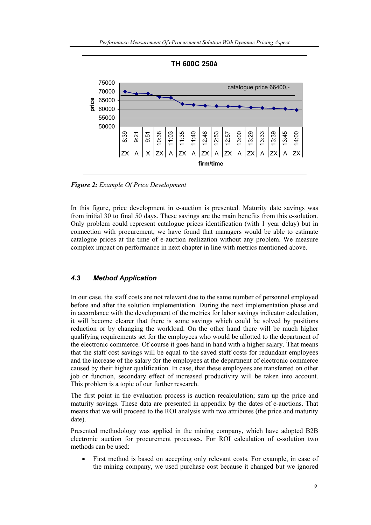

*Figure 2: Example Of Price Development* 

In this figure, price development in e-auction is presented. Maturity date savings was from initial 30 to final 50 days. These savings are the main benefits from this e-solution. Only problem could represent catalogue prices identification (with 1 year delay) but in connection with procurement, we have found that managers would be able to estimate catalogue prices at the time of e-auction realization without any problem. We measure complex impact on performance in next chapter in line with metrics mentioned above.

### *4.3 Method Application*

In our case, the staff costs are not relevant due to the same number of personnel employed before and after the solution implementation. During the next implementation phase and in accordance with the development of the metrics for labor savings indicator calculation, it will become clearer that there is some savings which could be solved by positions reduction or by changing the workload. On the other hand there will be much higher qualifying requirements set for the employees who would be allotted to the department of the electronic commerce. Of course it goes hand in hand with a higher salary. That means that the staff cost savings will be equal to the saved staff costs for redundant employees and the increase of the salary for the employees at the department of electronic commerce caused by their higher qualification. In case, that these employees are transferred on other job or function, secondary effect of increased productivity will be taken into account. This problem is a topic of our further research.

The first point in the evaluation process is auction recalculation; sum up the price and maturity savings. These data are presented in appendix by the dates of e-auctions. That means that we will proceed to the ROI analysis with two attributes (the price and maturity date).

Presented methodology was applied in the mining company, which have adopted B2B electronic auction for procurement processes. For ROI calculation of e-solution two methods can be used:

First method is based on accepting only relevant costs. For example, in case of the mining company, we used purchase cost because it changed but we ignored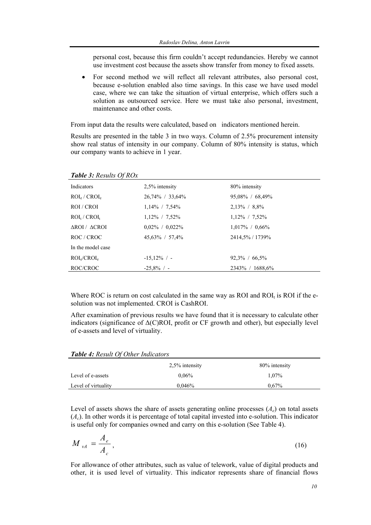personal cost, because this firm couldn't accept redundancies. Hereby we cannot use investment cost because the assets show transfer from money to fixed assets.

• For second method we will reflect all relevant attributes, also personal cost, because e-solution enabled also time savings. In this case we have used model case, where we can take the situation of virtual enterprise, which offers such a solution as outsourced service. Here we must take also personal, investment, maintenance and other costs.

From input data the results were calculated, based on indicators mentioned herein.

Results are presented in the table 3 in two ways. Column of 2.5% procurement intensity show real status of intensity in our company. Column of 80% intensity is status, which our company wants to achieve in 1 year.

| Indicators                   | $2.5\%$ intensity    | 80% intensity        |
|------------------------------|----------------------|----------------------|
| $ROI_e / CROI_e$             | 26,74% / 33,64%      | $95,08\%$ / 68,49%   |
| ROI / CROI                   | $1,14\%$ / 7,54%     | $2,13\%$ / 8,8%      |
| $ROI_t / CROI_t$             | $1,12\%$ / 7,52%     | $1,12\%$ / 7,52%     |
| $\Delta$ ROI / $\Delta$ CROI | $0.02\%$ / $0.022\%$ | $1,017\%$ / 0.66%    |
| ROC / CROC                   | $45,63\%$ / 57,4%    | 2414,5% / 1739%      |
| In the model case            |                      |                      |
| $ROI_e/CROI_e$               | $-15,12\%$ / -       | $92.3\% \div 66.5\%$ |
| ROC/CROC                     | $-25.8\%$ / -        | 2343\% / 1688,6\%    |
|                              |                      |                      |

*Table 3: Results Of ROx* 

Where ROC is return on cost calculated in the same way as ROI and  $ROL<sub>i</sub>$  is ROI if the esolution was not implemented. CROI is CashROI.

After examination of previous results we have found that it is necessary to calculate other indicators (significance of ∆(C)ROI, profit or CF growth and other), but especially level of e-assets and level of virtuality.

*Table 4: Result Of Other Indicators* 

*A*

|                     | $2,5\%$ intensity | 80% intensity |
|---------------------|-------------------|---------------|
| Level of e-assets   | $0.06\%$          | 1.07%         |
| Level of virtuality | 0.046%            | 0.67%         |

Level of assets shows the share of assets generating online processes  $(A_e)$  on total assets (*Ac*). In other words it is percentage of total capital invested into e-solution. This indicator is useful only for companies owned and carry on this e-solution (See Table 4).

$$
M_{\nu A} = \frac{A_e}{A_c},\tag{16}
$$

For allowance of other attributes, such as value of telework, value of digital products and other, it is used level of virtuality. This indicator represents share of financial flows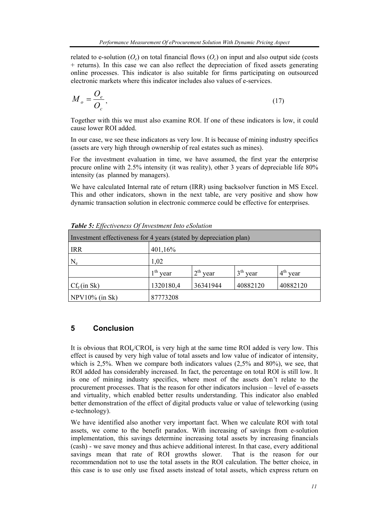related to e-solution  $(O_e)$  on total financial flows  $(O_e)$  on input and also output side (costs + returns). In this case we can also reflect the depreciation of fixed assets generating online processes. This indicator is also suitable for firms participating on outsourced electronic markets where this indicator includes also values of e-services.

$$
M_o = \frac{O_e}{O_c},\tag{17}
$$

Together with this we must also examine ROI. If one of these indicators is low, it could cause lower ROI added.

In our case, we see these indicators as very low. It is because of mining industry specifics (assets are very high through ownership of real estates such as mines).

For the investment evaluation in time, we have assumed, the first year the enterprise procure online with 2.5% intensity (it was reality), other 3 years of depreciable life 80% intensity (as planned by managers).

We have calculated Internal rate of return (IRR) using backsolver function in MS Excel. This and other indicators, shown in the next table, are very positive and show how dynamic transaction solution in electronic commerce could be effective for enterprises.

| Investment effectiveness for 4 years (stated by depreciation plan) |            |            |                       |            |  |  |  |
|--------------------------------------------------------------------|------------|------------|-----------------------|------------|--|--|--|
| <b>IRR</b>                                                         | 401,16%    |            |                       |            |  |  |  |
| $N_e$                                                              | 1,02       |            |                       |            |  |  |  |
|                                                                    | $1th$ year | $2th$ year | $13^{\text{th}}$ year | $4th$ year |  |  |  |
| $Cf_e(in Sk)$                                                      | 1320180,4  | 36341944   | 40882120              | 40882120   |  |  |  |
| $NPV10\%$ (in Sk)                                                  | 87773208   |            |                       |            |  |  |  |

*Table 5: Effectiveness Of Investment Into eSolution* 

## **5 Conclusion**

It is obvious that  $ROI_{e}/CROI_{e}$  is very high at the same time ROI added is very low. This effect is caused by very high value of total assets and low value of indicator of intensity, which is 2,5%. When we compare both indicators values (2,5% and 80%), we see, that ROI added has considerably increased. In fact, the percentage on total ROI is still low. It is one of mining industry specifics, where most of the assets don't relate to the procurement processes. That is the reason for other indicators inclusion – level of e-assets and virtuality, which enabled better results understanding. This indicator also enabled better demonstration of the effect of digital products value or value of teleworking (using e-technology).

We have identified also another very important fact. When we calculate ROI with total assets, we come to the benefit paradox. With increasing of savings from e-solution implementation, this savings determine increasing total assets by increasing financials (cash) - we save money and thus achieve additional interest. In that case, every additional savings mean that rate of ROI growths slower. That is the reason for our recommendation not to use the total assets in the ROI calculation. The better choice, in this case is to use only use fixed assets instead of total assets, which express return on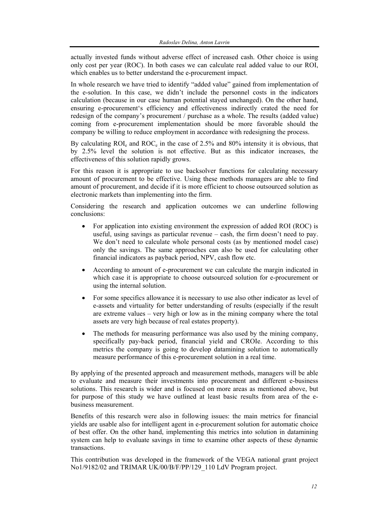actually invested funds without adverse effect of increased cash. Other choice is using only cost per year (ROC). In both cases we can calculate real added value to our ROI, which enables us to better understand the e-procurement impact.

In whole research we have tried to identify "added value" gained from implementation of the e-solution. In this case, we didn't include the personnel costs in the indicators calculation (because in our case human potential stayed unchanged). On the other hand, ensuring e-procurement's efficiency and effectiveness indirectly crated the need for redesign of the company's procurement / purchase as a whole. The results (added value) coming from e-procurement implementation should be more favorable should the company be willing to reduce employment in accordance with redesigning the process.

By calculating  $ROI_e$  and  $ROC_e$  in the case of 2.5% and 80% intensity it is obvious, that by 2.5% level the solution is not effective. But as this indicator increases, the effectiveness of this solution rapidly grows.

For this reason it is appropriate to use backsolver functions for calculating necessary amount of procurement to be effective. Using these methods managers are able to find amount of procurement, and decide if it is more efficient to choose outsourced solution as electronic markets than implementing into the firm.

Considering the research and application outcomes we can underline following conclusions:

- For application into existing environment the expression of added ROI (ROC) is useful, using savings as particular revenue – cash, the firm doesn't need to pay. We don't need to calculate whole personal costs (as by mentioned model case) only the savings. The same approaches can also be used for calculating other financial indicators as payback period, NPV, cash flow etc.
- According to amount of e-procurement we can calculate the margin indicated in which case it is appropriate to choose outsourced solution for e-procurement or using the internal solution.
- For some specifics allowance it is necessary to use also other indicator as level of e-assets and virtuality for better understanding of results (especially if the result are extreme values – very high or low as in the mining company where the total assets are very high because of real estates property).
- The methods for measuring performance was also used by the mining company, specifically pay-back period, financial yield and CROIe. According to this metrics the company is going to develop datamining solution to automatically measure performance of this e-procurement solution in a real time.

By applying of the presented approach and measurement methods, managers will be able to evaluate and measure their investments into procurement and different e-business solutions. This research is wider and is focused on more areas as mentioned above, but for purpose of this study we have outlined at least basic results from area of the ebusiness measurement.

Benefits of this research were also in following issues: the main metrics for financial yields are usable also for intelligent agent in e-procurement solution for automatic choice of best offer. On the other hand, implementing this metrics into solution in datamining system can help to evaluate savings in time to examine other aspects of these dynamic transactions.

This contribution was developed in the framework of the VEGA national grant project No1/9182/02 and TRIMAR UK/00/B/F/PP/129\_110 LdV Program project.